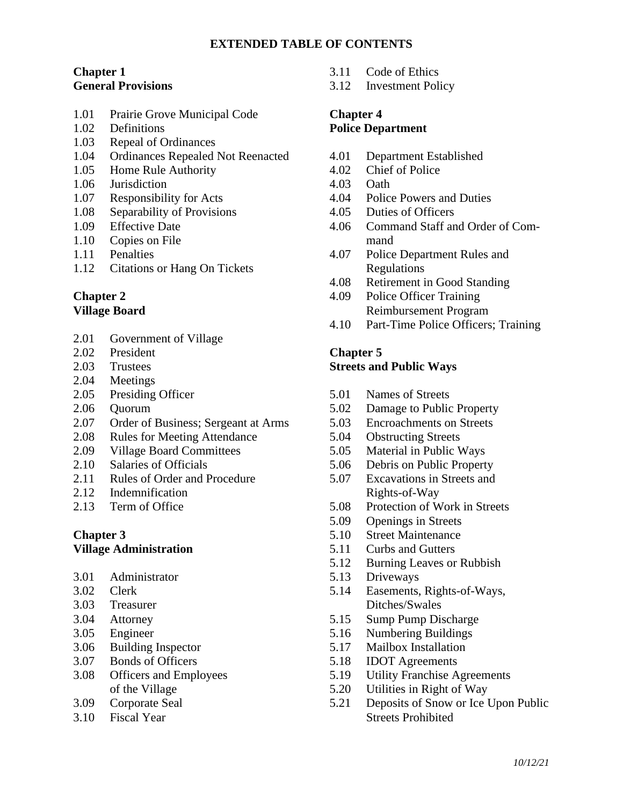#### **EXTENDED TABLE OF CONTENTS**

#### **Chapter 1 General Provisions**

- 1.01 Prairie Grove Municipal Code
- 1.02 Definitions
- 1.03 Repeal of Ordinances
- 1.04 Ordinances Repealed Not Reenacted
- 1.05 Home Rule Authority
- 1.06 Jurisdiction
- 1.07 Responsibility for Acts
- 1.08 Separability of Provisions
- 1.09 Effective Date
- 1.10 Copies on File
- 1.11 Penalties
- 1.12 Citations or Hang On Tickets

# **Chapter 2**

#### **Village Board**

- 2.01 Government of Village
- 2.02 President
- 2.03 Trustees
- 2.04 Meetings
- 2.05 Presiding Officer
- 2.06 Quorum
- 2.07 Order of Business; Sergeant at Arms
- 2.08 Rules for Meeting Attendance
- 2.09 Village Board Committees
- 2.10 Salaries of Officials
- 2.11 Rules of Order and Procedure
- 2.12 Indemnification
- 2.13 Term of Office

#### **Chapter 3 Village Administration**

- 3.01 Administrator
- 3.02 Clerk
- 3.03 Treasurer
- 3.04 Attorney
- 3.05 Engineer
- 3.06 Building Inspector
- 3.07 Bonds of Officers
- 3.08 Officers and Employees of the Village
- 3.09 Corporate Seal
- 3.10 Fiscal Year
- 3.11 Code of Ethics
- 3.12 Investment Policy

## **Chapter 4 Police Department**

- 4.01 Department Established
- 4.02 Chief of Police
- 4.03 Oath
- 4.04 Police Powers and Duties
- 4.05 Duties of Officers
- 4.06 Command Staff and Order of Command
- 4.07 Police Department Rules and Regulations
- 4.08 Retirement in Good Standing
- 4.09 Police Officer Training Reimbursement Program
- 4.10 Part-Time Police Officers; Training

#### **Chapter 5 Streets and Public Ways**

- 5.01 Names of Streets
- 5.02 Damage to Public Property
- 5.03 Encroachments on Streets
- 5.04 Obstructing Streets
- 5.05 Material in Public Ways
- 5.06 Debris on Public Property
- 5.07 Excavations in Streets and Rights-of-Way
- 5.08 Protection of Work in Streets
- 5.09 Openings in Streets
- 5.10 Street Maintenance
- 5.11 Curbs and Gutters
- 5.12 Burning Leaves or Rubbish
- 5.13 Driveways
- 5.14 Easements, Rights-of-Ways, Ditches/Swales
- 5.15 Sump Pump Discharge
- 5.16 Numbering Buildings
- 5.17 Mailbox Installation
- 5.18 IDOT Agreements
- 5.19 Utility Franchise Agreements
- 5.20 Utilities in Right of Way
- 5.21 Deposits of Snow or Ice Upon Public Streets Prohibited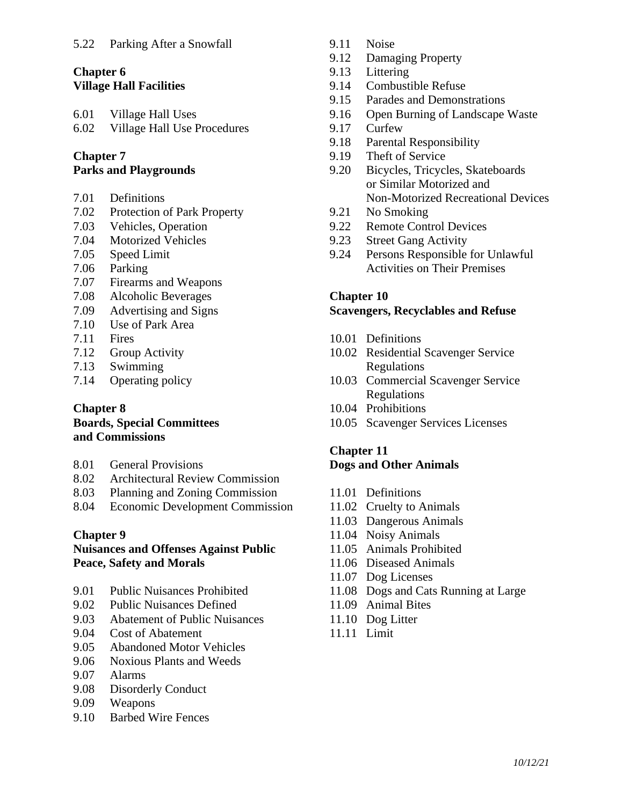#### **Chapter 6 Village Hall Facilities**

- 6.01 Village Hall Uses
- 6.02 Village Hall Use Procedures

### **Chapter 7**

#### **Parks and Playgrounds**

- 7.01 Definitions
- 7.02 Protection of Park Property
- 7.03 Vehicles, Operation
- 7.04 Motorized Vehicles
- 7.05 Speed Limit
- 7.06 Parking
- 7.07 Firearms and Weapons
- 7.08 Alcoholic Beverages
- 7.09 Advertising and Signs
- 7.10 Use of Park Area
- 7.11 Fires
- 7.12 Group Activity
- 7.13 Swimming
- 7.14 Operating policy

#### **Chapter 8 Boards, Special Committees**

# **and Commissions**

- 8.01 General Provisions
- 8.02 Architectural Review Commission
- 8.03 Planning and Zoning Commission
- 8.04 Economic Development Commission

#### **Chapter 9**

#### **Nuisances and Offenses Against Public Peace, Safety and Morals**

- 9.01 Public Nuisances Prohibited
- 9.02 Public Nuisances Defined
- 9.03 Abatement of Public Nuisances
- 9.04 Cost of Abatement
- 9.05 Abandoned Motor Vehicles
- 9.06 Noxious Plants and Weeds
- 9.07 Alarms
- 9.08 Disorderly Conduct
- 9.09 Weapons
- 9.10 Barbed Wire Fences
- 9.11 Noise
- 9.12 Damaging Property
- 9.13 Littering
- 9.14 Combustible Refuse
- 9.15 Parades and Demonstrations
- 9.16 Open Burning of Landscape Waste
- 9.17 Curfew
- 9.18 Parental Responsibility
- 9.19 Theft of Service
- 9.20 Bicycles, Tricycles, Skateboards or Similar Motorized and Non-Motorized Recreational Devices
- 9.21 No Smoking
- 9.22 Remote Control Devices
- 9.23 Street Gang Activity
- 9.24 Persons Responsible for Unlawful Activities on Their Premises

#### **Chapter 10**

#### **Scavengers, Recyclables and Refuse**

- 10.01 Definitions
- 10.02 Residential Scavenger Service Regulations
- 10.03 Commercial Scavenger Service Regulations
- 10.04 Prohibitions
- 10.05 Scavenger Services Licenses

#### **Chapter 11 Dogs and Other Animals**

- 11.01 Definitions
- 11.02 Cruelty to Animals
- 11.03 Dangerous Animals
- 11.04 Noisy Animals
- 11.05 Animals Prohibited
- 11.06 Diseased Animals
- 11.07 Dog Licenses
- 11.08 Dogs and Cats Running at Large
- 11.09 Animal Bites
- 11.10 Dog Litter
- 11.11 Limit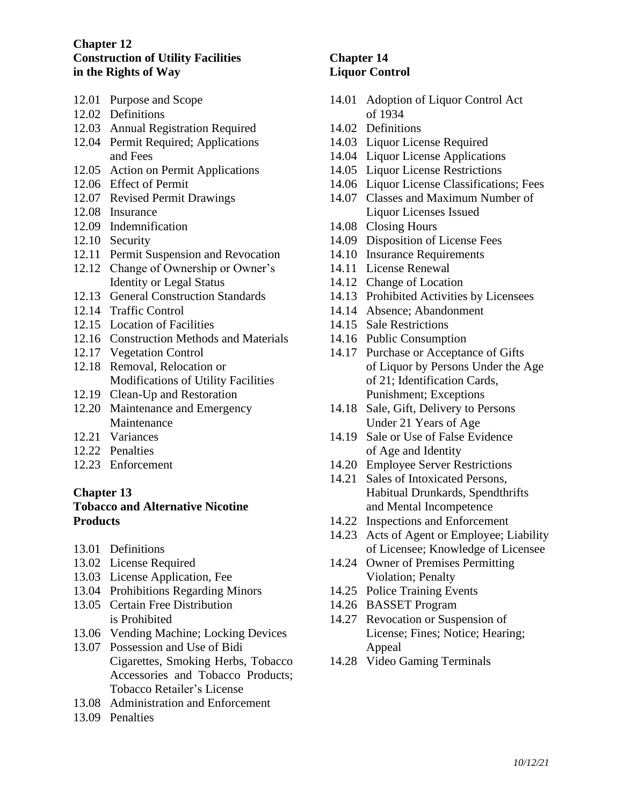#### **Chapter 12 Construction of Utility Facilities in the Rights of Way**

- 12.01 Purpose and Scope
- 12.02 Definitions
- 12.03 Annual Registration Required
- 12.04 Permit Required; Applications and Fees
- 12.05 Action on Permit Applications
- 12.06 Effect of Permit
- 12.07 Revised Permit Drawings
- 12.08 Insurance
- 12.09 Indemnification
- 12.10 Security
- 12.11 Permit Suspension and Revocation
- 12.12 Change of Ownership or Owner's Identity or Legal Status
- 12.13 General Construction Standards
- 12.14 Traffic Control
- 12.15 Location of Facilities
- 12.16 Construction Methods and Materials
- 12.17 Vegetation Control
- 12.18 Removal, Relocation or Modifications of Utility Facilities
- 12.19 Clean-Up and Restoration
- 12.20 Maintenance and Emergency Maintenance
- 12.21 Variances
- 12.22 Penalties
- 12.23 Enforcement

#### **Chapter 13 Tobacco and Alternative Nicotine Products**

- 13.01 Definitions
- 13.02 License Required
- 13.03 License Application, Fee
- 13.04 Prohibitions Regarding Minors
- 13.05 Certain Free Distribution is Prohibited
- 13.06 Vending Machine; Locking Devices
- 13.07 Possession and Use of Bidi Cigarettes, Smoking Herbs, Tobacco Accessories and Tobacco Products; Tobacco Retailer's License
- 13.08 Administration and Enforcement
- 13.09 Penalties

## **Chapter 14 Liquor Control**

- 14.01 Adoption of Liquor Control Act of 1934
- 14.02 Definitions
- 14.03 Liquor License Required
- 14.04 Liquor License Applications
- 14.05 Liquor License Restrictions
- 14.06 Liquor License Classifications; Fees
- 14.07 Classes and Maximum Number of Liquor Licenses Issued
- 14.08 Closing Hours
- 14.09 Disposition of License Fees
- 14.10 Insurance Requirements
- 14.11 License Renewal
- 14.12 Change of Location
- 14.13 Prohibited Activities by Licensees
- 14.14 Absence; Abandonment
- 14.15 Sale Restrictions
- 14.16 Public Consumption
- 14.17 Purchase or Acceptance of Gifts of Liquor by Persons Under the Age of 21; Identification Cards, Punishment; Exceptions
- 14.18 Sale, Gift, Delivery to Persons Under 21 Years of Age
- 14.19 Sale or Use of False Evidence of Age and Identity
- 14.20 Employee Server Restrictions
- 14.21 Sales of Intoxicated Persons, Habitual Drunkards, Spendthrifts and Mental Incompetence
- 14.22 Inspections and Enforcement
- 14.23 Acts of Agent or Employee; Liability of Licensee; Knowledge of Licensee
- 14.24 Owner of Premises Permitting Violation; Penalty
- 14.25 Police Training Events
- 14.26 BASSET Program
- 14.27 Revocation or Suspension of License; Fines; Notice; Hearing; Appeal
- 14.28 Video Gaming Terminals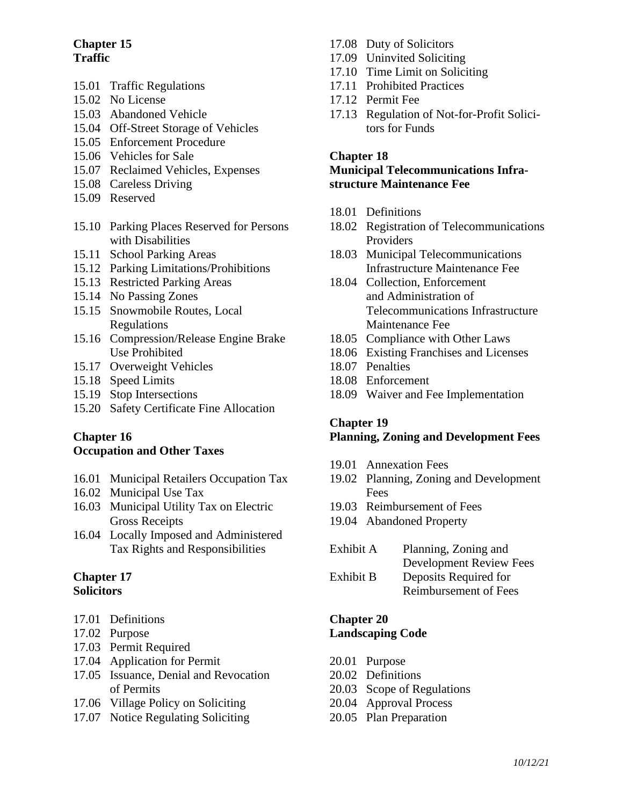## **Chapter 15 Traffic**

- 15.01 Traffic Regulations
- 15.02 No License
- 15.03 Abandoned Vehicle
- 15.04 Off-Street Storage of Vehicles
- 15.05 Enforcement Procedure
- 15.06 Vehicles for Sale
- 15.07 Reclaimed Vehicles, Expenses
- 15.08 Careless Driving
- 15.09 Reserved
- 15.10 Parking Places Reserved for Persons with Disabilities
- 15.11 School Parking Areas
- 15.12 Parking Limitations/Prohibitions
- 15.13 Restricted Parking Areas
- 15.14 No Passing Zones
- 15.15 Snowmobile Routes, Local Regulations
- 15.16 Compression/Release Engine Brake Use Prohibited
- 15.17 Overweight Vehicles
- 15.18 Speed Limits
- 15.19 Stop Intersections
- 15.20 Safety Certificate Fine Allocation

# **Chapter 16**

#### **Occupation and Other Taxes**

- 16.01 Municipal Retailers Occupation Tax
- 16.02 Municipal Use Tax
- 16.03 Municipal Utility Tax on Electric Gross Receipts
- 16.04 Locally Imposed and Administered Tax Rights and Responsibilities

# **Chapter 17**

### **Solicitors**

- 17.01 Definitions
- 17.02 Purpose
- 17.03 Permit Required
- 17.04 Application for Permit
- 17.05 Issuance, Denial and Revocation of Permits
- 17.06 Village Policy on Soliciting
- 17.07 Notice Regulating Soliciting
- 17.08 Duty of Solicitors
- 17.09 Uninvited Soliciting
- 17.10 Time Limit on Soliciting
- 17.11 Prohibited Practices
- 17.12 Permit Fee
- 17.13 Regulation of Not-for-Profit Solicitors for Funds

#### **Chapter 18**

#### **Municipal Telecommunications Infrastructure Maintenance Fee**

- 18.01 Definitions
- 18.02 Registration of Telecommunications Providers
- 18.03 Municipal Telecommunications Infrastructure Maintenance Fee
- 18.04 Collection, Enforcement and Administration of Telecommunications Infrastructure Maintenance Fee
- 18.05 Compliance with Other Laws
- 18.06 Existing Franchises and Licenses
- 18.07 Penalties
- 18.08 Enforcement
- 18.09 Waiver and Fee Implementation

# **Chapter 19**

#### **Planning, Zoning and Development Fees**

- 19.01 Annexation Fees
- 19.02 Planning, Zoning and Development Fees
- 19.03 Reimbursement of Fees
- 19.04 Abandoned Property
- Exhibit A Planning, Zoning and Development Review Fees Exhibit B Deposits Required for Reimbursement of Fees

#### **Chapter 20 Landscaping Code**

- 20.01 Purpose
- 20.02 Definitions
- 20.03 Scope of Regulations
- 20.04 Approval Process
- 20.05 Plan Preparation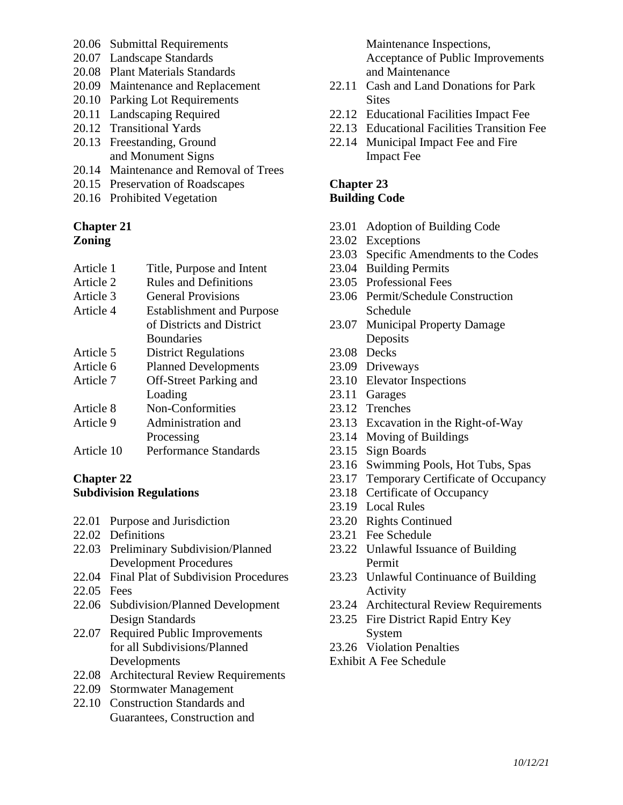- 20.06 Submittal Requirements
- 20.07 Landscape Standards
- 20.08 Plant Materials Standards
- 20.09 Maintenance and Replacement
- 20.10 Parking Lot Requirements
- 20.11 Landscaping Required
- 20.12 Transitional Yards
- 20.13 Freestanding, Ground and Monument Signs
- 20.14 Maintenance and Removal of Trees
- 20.15 Preservation of Roadscapes
- 20.16 Prohibited Vegetation

# **Chapter 21**

# **Zoning**

| Article 1 | Title, Purpose and Intent |
|-----------|---------------------------|
|           |                           |

- Article 2 Rules and Definitions
- Article 3 General Provisions
- Article 4 Establishment and Purpose of Districts and District Boundaries
- Article 5 District Regulations
- Article 6 Planned Developments
- Article 7 Off-Street Parking and Loading
- Article 8 Non-Conformities
- Article 9 Administration and Processing Article 10 Performance Standards

#### **Chapter 22 Subdivision Regulations**

- 22.01 Purpose and Jurisdiction
- 22.02 Definitions
- 22.03 Preliminary Subdivision/Planned Development Procedures
- 22.04 Final Plat of Subdivision Procedures
- 22.05 Fees
- 22.06 Subdivision/Planned Development Design Standards
- 22.07 Required Public Improvements for all Subdivisions/Planned Developments
- 22.08 Architectural Review Requirements
- 22.09 Stormwater Management
- 22.10 Construction Standards and Guarantees, Construction and

Maintenance Inspections, Acceptance of Public Improvements and Maintenance

- 22.11 Cash and Land Donations for Park **Sites**
- 22.12 Educational Facilities Impact Fee
- 22.13 Educational Facilities Transition Fee
- 22.14 Municipal Impact Fee and Fire Impact Fee

# **Chapter 23 Building Code**

- 23.01 Adoption of Building Code
- 23.02 Exceptions
- 23.03 Specific Amendments to the Codes
- 23.04 Building Permits
- 23.05 Professional Fees
- 23.06 Permit/Schedule Construction Schedule
- 23.07 Municipal Property Damage Deposits
- 23.08 Decks
- 23.09 Driveways
- 23.10 Elevator Inspections
- 23.11 Garages
- 23.12 Trenches
- 23.13 Excavation in the Right-of-Way
- 23.14 Moving of Buildings
- 23.15 Sign Boards
- 23.16 Swimming Pools, Hot Tubs, Spas
- 23.17 Temporary Certificate of Occupancy
- 23.18 Certificate of Occupancy
- 23.19 Local Rules
- 23.20 Rights Continued
- 23.21 Fee Schedule
- 23.22 Unlawful Issuance of Building Permit
- 23.23 Unlawful Continuance of Building Activity
- 23.24 Architectural Review Requirements
- 23.25 Fire District Rapid Entry Key System
- 23.26 Violation Penalties
- Exhibit A Fee Schedule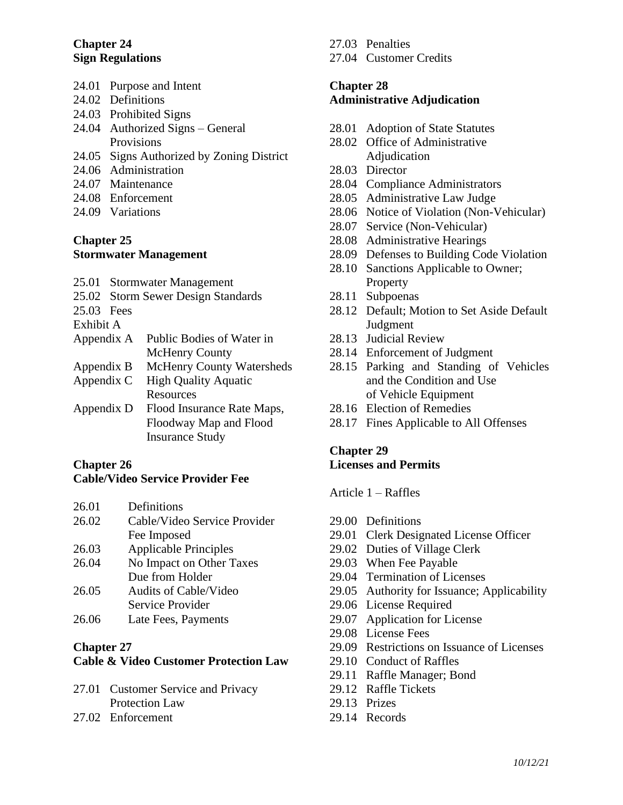### **Chapter 24 Sign Regulations**

- 24.01 Purpose and Intent
- 24.02 Definitions
- 24.03 Prohibited Signs
- 24.04 Authorized Signs General Provisions
- 24.05 Signs Authorized by Zoning District
- 24.06 Administration
- 24.07 Maintenance
- 24.08 Enforcement
- 24.09 Variations

# **Chapter 25 Stormwater Management**

- 25.01 Stormwater Management
- 25.02 Storm Sewer Design Standards
- 25.03 Fees
- Exhibit A

|                                  | Appendix A Public Bodies of Water in                                                                      |
|----------------------------------|-----------------------------------------------------------------------------------------------------------|
|                                  | <b>McHenry County</b>                                                                                     |
| $\lambda$ $\lambda$ $\mathbf{D}$ | $M_{\odot}H_{\odot}$ and $\Omega_{\odot}$ and $M_{\odot}$ and $M_{\odot}$ and $M_{\odot}$ and $M_{\odot}$ |

- Appendix B McHenry County Watersheds
- Appendix C High Quality Aquatic Resources
- Appendix D Flood Insurance Rate Maps, Floodway Map and Flood Insurance Study

# **Chapter 26**

#### **Cable/Video Service Provider Fee**

| 26.01 | Definitions                  |
|-------|------------------------------|
| 26.02 | Cable/Video Service Provider |
|       | Fee Imposed                  |
| 26.03 | <b>Applicable Principles</b> |
| 26.04 | No Impact on Other Taxes     |
|       | Due from Holder              |
| 26.05 | Audits of Cable/Video        |
|       | Service Provider             |
| 26.06 | Late Fees, Payments          |
|       |                              |

#### **Chapter 27**

# **Cable & Video Customer Protection Law**

- 27.01 Customer Service and Privacy Protection Law
- 27.02 Enforcement

#### 27.03 Penalties

27.04 Customer Credits

# **Chapter 28**

# **Administrative Adjudication**

- 28.01 Adoption of State Statutes
- 28.02 Office of Administrative **Adjudication**
- 28.03 Director
- 28.04 Compliance Administrators
- 28.05 Administrative Law Judge
- 28.06 Notice of Violation (Non-Vehicular)
- 28.07 Service (Non-Vehicular)
- 28.08 Administrative Hearings
- 28.09 Defenses to Building Code Violation
- 28.10 Sanctions Applicable to Owner; **Property**
- 28.11 Subpoenas
- 28.12 Default; Motion to Set Aside Default Judgment
- 28.13 Judicial Review
- 28.14 Enforcement of Judgment
- 28.15 Parking and Standing of Vehicles and the Condition and Use of Vehicle Equipment
- 28.16 Election of Remedies
- 28.17 Fines Applicable to All Offenses

#### **Chapter 29 Licenses and Permits**

Article 1 – Raffles

- 29.00 Definitions
- 29.01 Clerk Designated License Officer
- 29.02 Duties of Village Clerk
- 29.03 When Fee Payable
- 29.04 Termination of Licenses
- 29.05 Authority for Issuance; Applicability
- 29.06 License Required
- 29.07 Application for License
- 29.08 License Fees
- 29.09 Restrictions on Issuance of Licenses
- 29.10 Conduct of Raffles
- 29.11 Raffle Manager; Bond
- 29.12 Raffle Tickets
- 29.13 Prizes
- 29.14 Records